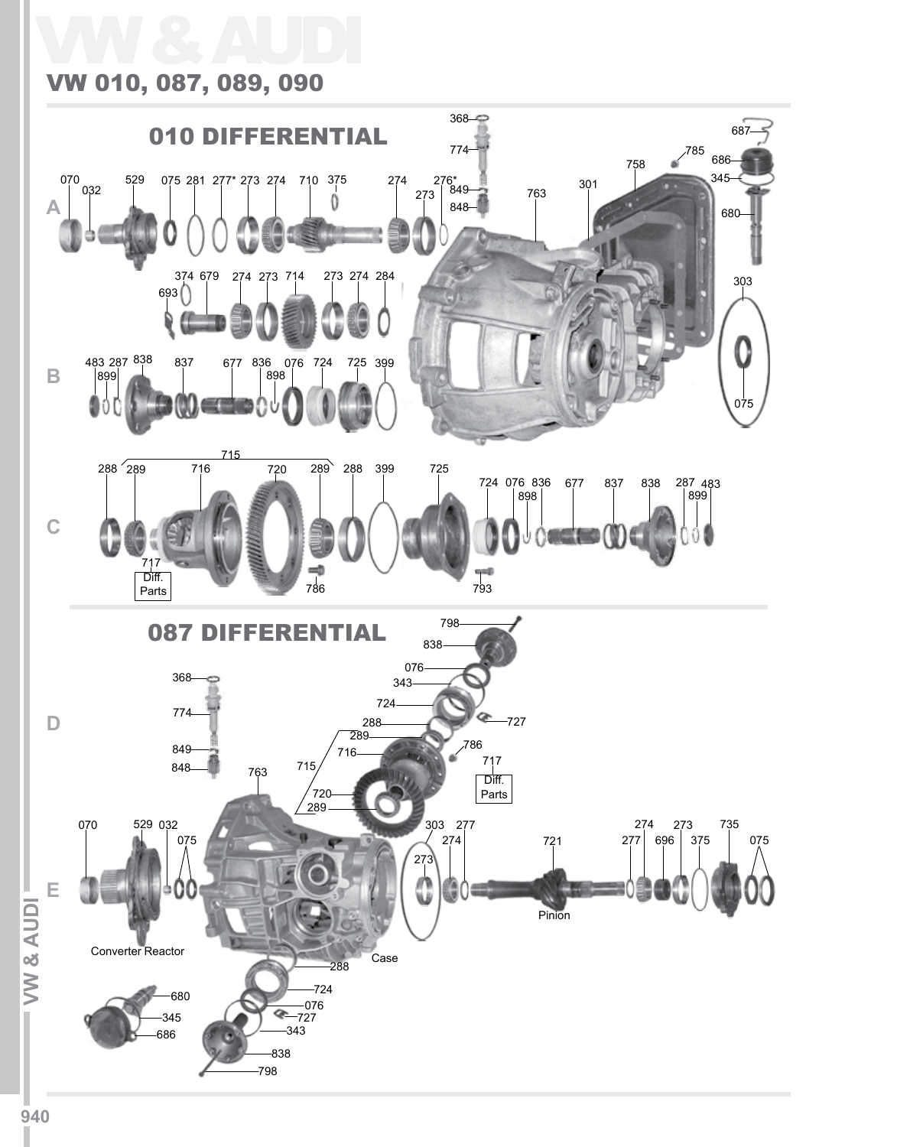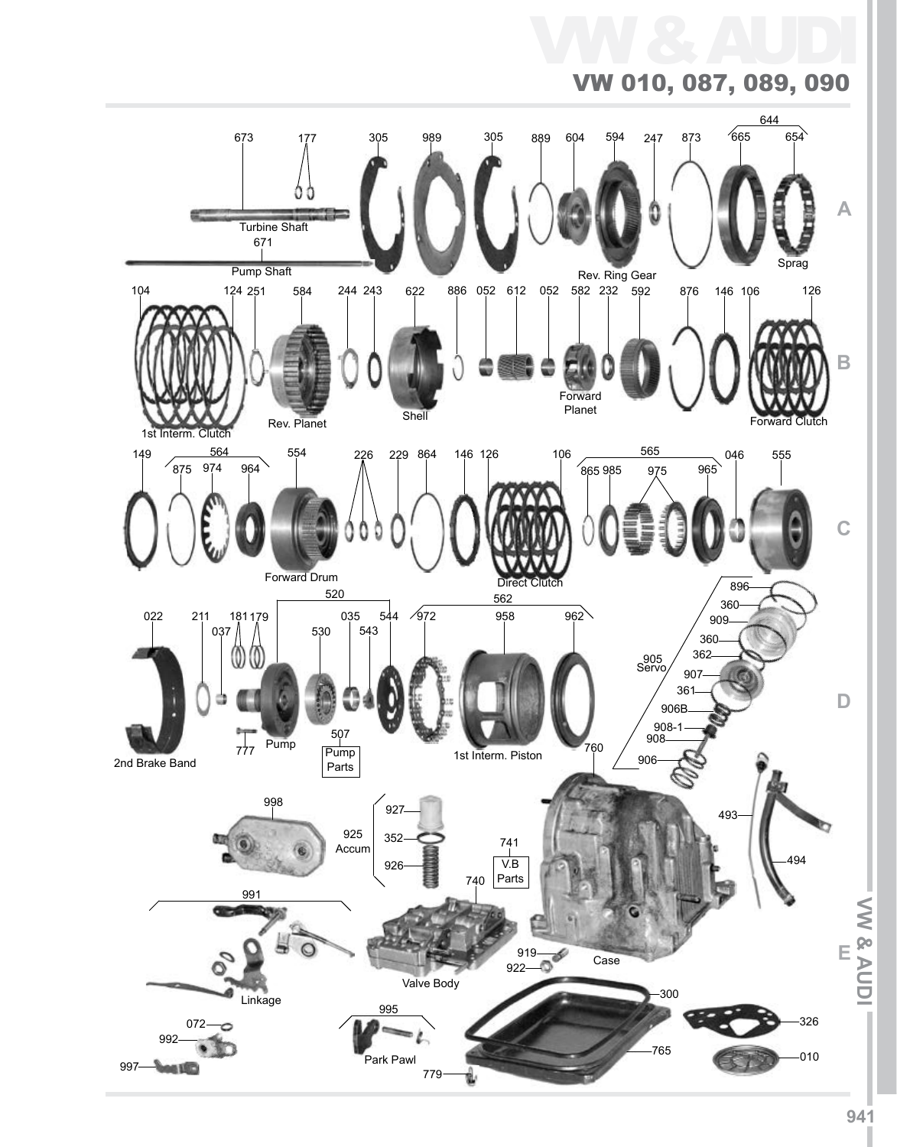# VW & AUDI VW 010, 087, 089, 090

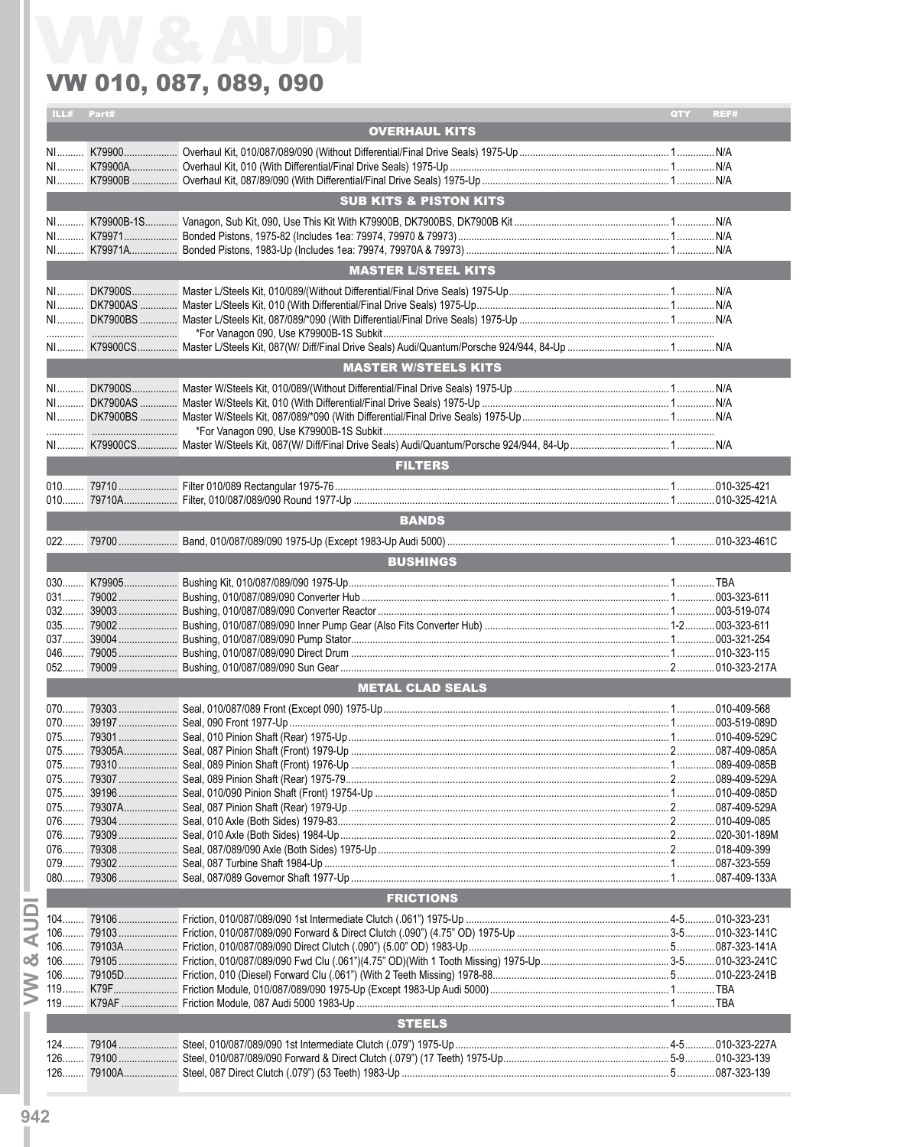|    | ILL# Part#              |  |                                   | QTY | REF# |  |  |
|----|-------------------------|--|-----------------------------------|-----|------|--|--|
|    |                         |  | <b>OVERHAUL KITS</b>              |     |      |  |  |
|    |                         |  |                                   |     |      |  |  |
|    |                         |  |                                   |     |      |  |  |
|    |                         |  |                                   |     |      |  |  |
|    |                         |  |                                   |     |      |  |  |
|    |                         |  | <b>SUB KITS &amp; PISTON KITS</b> |     |      |  |  |
|    |                         |  |                                   |     |      |  |  |
|    |                         |  |                                   |     |      |  |  |
|    |                         |  |                                   |     |      |  |  |
|    |                         |  |                                   |     |      |  |  |
|    |                         |  | <b>MASTER L/STEEL KITS</b>        |     |      |  |  |
|    |                         |  |                                   |     |      |  |  |
|    |                         |  |                                   |     |      |  |  |
|    |                         |  |                                   |     |      |  |  |
|    |                         |  |                                   |     |      |  |  |
|    |                         |  |                                   |     |      |  |  |
|    |                         |  | <b>MASTER W/STEELS KITS</b>       |     |      |  |  |
|    |                         |  |                                   |     |      |  |  |
|    |                         |  |                                   |     |      |  |  |
|    |                         |  |                                   |     |      |  |  |
|    |                         |  |                                   |     |      |  |  |
|    |                         |  |                                   |     |      |  |  |
|    |                         |  |                                   |     |      |  |  |
|    |                         |  | <b>FILTERS</b>                    |     |      |  |  |
|    |                         |  |                                   |     |      |  |  |
|    |                         |  |                                   |     |      |  |  |
|    |                         |  | <b>BANDS</b>                      |     |      |  |  |
|    |                         |  |                                   |     |      |  |  |
|    |                         |  |                                   |     |      |  |  |
|    |                         |  | <b>BUSHINGS</b>                   |     |      |  |  |
|    |                         |  |                                   |     |      |  |  |
|    |                         |  |                                   |     |      |  |  |
|    |                         |  |                                   |     |      |  |  |
|    |                         |  |                                   |     |      |  |  |
|    |                         |  |                                   |     |      |  |  |
|    | $046$                   |  |                                   |     |      |  |  |
|    | $052$                   |  |                                   |     |      |  |  |
|    | <b>METAL CLAD SEALS</b> |  |                                   |     |      |  |  |
|    |                         |  |                                   |     |      |  |  |
|    |                         |  |                                   |     |      |  |  |
|    | 075                     |  |                                   |     |      |  |  |
|    | $075$                   |  |                                   |     |      |  |  |
|    |                         |  |                                   |     |      |  |  |
|    |                         |  |                                   |     |      |  |  |
|    | 075                     |  |                                   |     |      |  |  |
|    | 075                     |  |                                   |     |      |  |  |
|    | 076                     |  |                                   |     |      |  |  |
|    | $076$                   |  |                                   |     |      |  |  |
|    | 076                     |  |                                   |     |      |  |  |
|    | 079                     |  |                                   |     |      |  |  |
|    |                         |  |                                   |     |      |  |  |
|    |                         |  |                                   |     |      |  |  |
|    |                         |  | <b>FRICTIONS</b>                  |     |      |  |  |
|    |                         |  |                                   |     |      |  |  |
| ⋖  |                         |  |                                   |     |      |  |  |
|    |                         |  |                                   |     |      |  |  |
| න් |                         |  |                                   |     |      |  |  |
|    |                         |  |                                   |     |      |  |  |
|    |                         |  |                                   |     |      |  |  |
|    |                         |  |                                   |     |      |  |  |
|    |                         |  | <b>STEELS</b>                     |     |      |  |  |
|    | $124$                   |  |                                   |     |      |  |  |
|    | $126$                   |  |                                   |     |      |  |  |
|    |                         |  |                                   |     |      |  |  |
|    |                         |  |                                   |     |      |  |  |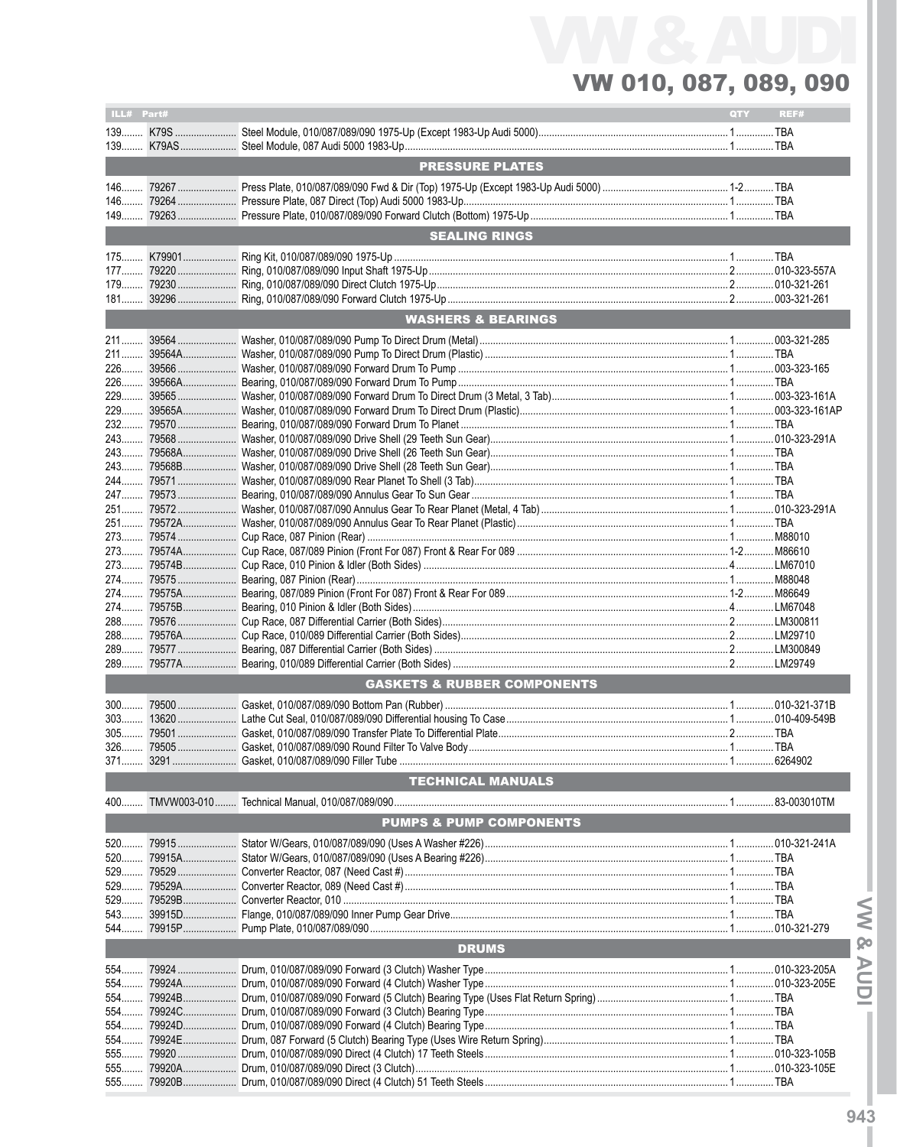| ILL# Part#   |        |                                              | <b>QTY</b> | REF#          |
|--------------|--------|----------------------------------------------|------------|---------------|
|              |        |                                              |            |               |
|              |        |                                              |            |               |
|              |        | <b>PRESSURE PLATES</b>                       |            |               |
|              |        |                                              |            |               |
| $146$        |        |                                              |            |               |
|              |        |                                              |            |               |
|              |        | <b>SEALING RINGS</b>                         |            |               |
|              |        |                                              |            |               |
|              |        |                                              |            |               |
|              |        |                                              |            |               |
| $181$        |        |                                              |            |               |
|              |        | <b>WASHERS &amp; BEARINGS</b>                |            |               |
|              |        |                                              |            |               |
|              |        |                                              |            |               |
|              |        |                                              |            |               |
|              |        |                                              |            |               |
|              |        |                                              |            |               |
|              |        |                                              |            |               |
|              |        |                                              |            |               |
| 243          |        |                                              |            |               |
|              |        |                                              |            |               |
|              |        |                                              |            |               |
|              |        |                                              |            |               |
| 251          |        |                                              |            |               |
|              |        |                                              |            |               |
|              |        |                                              |            |               |
|              |        |                                              |            |               |
|              |        |                                              |            |               |
| $274$        |        |                                              |            |               |
|              |        |                                              |            |               |
|              |        |                                              |            |               |
|              |        |                                              |            |               |
| 289          |        |                                              |            |               |
| 289          |        |                                              |            |               |
|              |        | <b>GASKETS &amp; RUBBER COMPONENTS</b>       |            |               |
|              |        |                                              |            |               |
| $300$        |        |                                              |            |               |
| $303$        |        |                                              |            |               |
| 326          |        |                                              |            |               |
|              |        | 371 3291 Gasket, 010/087/089/090 Filler Tube |            |               |
|              |        | <b>TECHNICAL MANUALS</b>                     |            |               |
|              |        |                                              |            |               |
| $400$        |        |                                              |            |               |
|              |        | <b>PUMPS &amp; PUMP COMPONENTS</b>           |            |               |
| 520          |        |                                              |            |               |
|              |        |                                              |            |               |
|              |        |                                              |            |               |
| $529$        |        |                                              |            |               |
| 529<br>$543$ |        |                                              |            |               |
| 544          |        |                                              |            | .010-321-279  |
|              |        | <b>DRUMS</b>                                 |            |               |
|              |        |                                              |            |               |
| 554          |        |                                              |            |               |
| 554          | 79924A |                                              |            | .010-323-205E |
| 554          | 79924C |                                              |            |               |
| 554          |        |                                              |            |               |
| $554$        |        |                                              |            |               |
| 555          |        |                                              |            |               |
| 555          |        |                                              |            |               |
| 555          | 79920B |                                              |            |               |

 $-$  MV & AUDI $-$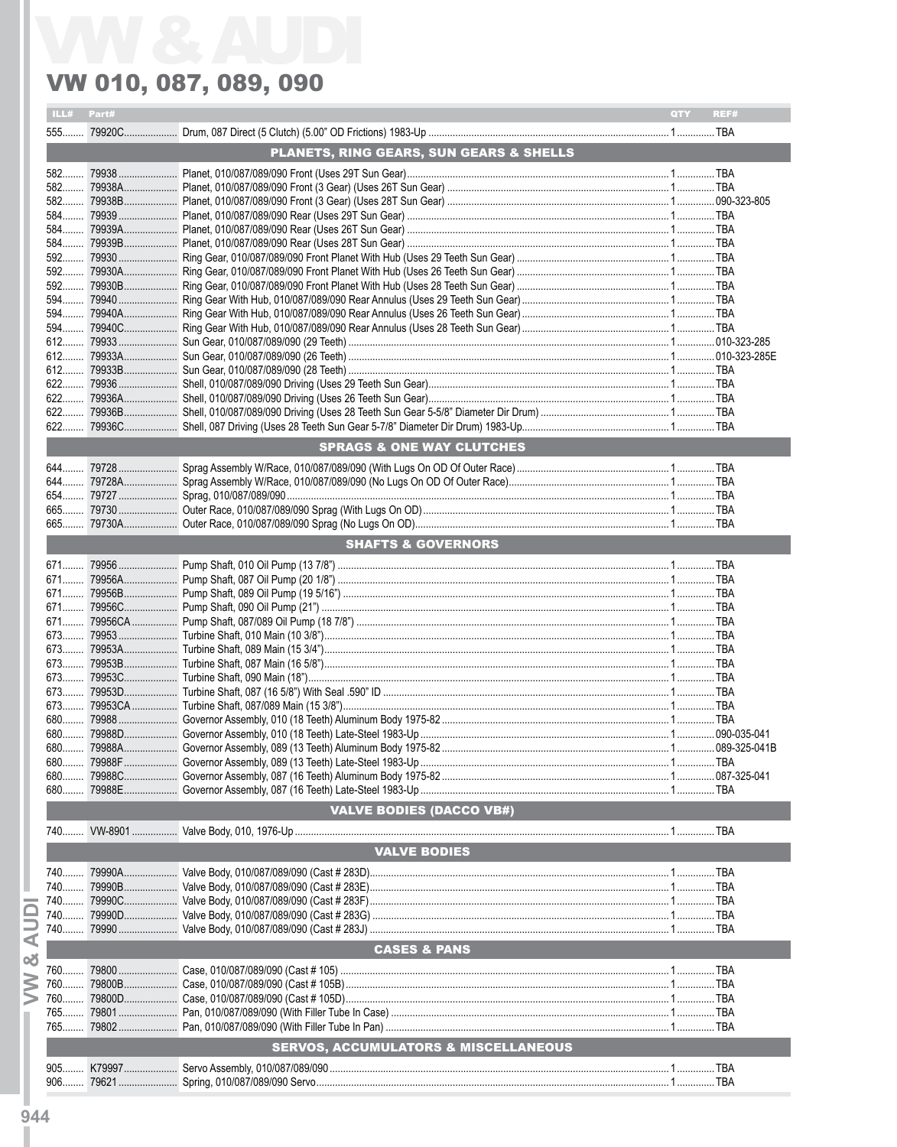| ILL# Part#   |                                                 | QTY | REF# |
|--------------|-------------------------------------------------|-----|------|
|              |                                                 |     |      |
|              | PLANETS, RING GEARS, SUN GEARS & SHELLS         |     |      |
|              |                                                 |     |      |
|              |                                                 |     |      |
|              |                                                 |     |      |
|              |                                                 |     |      |
|              |                                                 |     |      |
| 584          |                                                 |     |      |
|              |                                                 |     |      |
|              |                                                 |     |      |
|              |                                                 |     |      |
|              |                                                 |     |      |
| 594          |                                                 |     |      |
|              |                                                 |     |      |
|              |                                                 |     |      |
|              |                                                 |     |      |
|              |                                                 |     |      |
|              |                                                 |     |      |
|              |                                                 |     |      |
|              |                                                 |     |      |
| $622$        |                                                 |     |      |
|              | <b>SPRAGS &amp; ONE WAY CLUTCHES</b>            |     |      |
|              |                                                 |     |      |
|              |                                                 |     |      |
|              |                                                 |     |      |
|              |                                                 |     |      |
|              |                                                 |     |      |
|              |                                                 |     |      |
|              | <b>SHAFTS &amp; GOVERNORS</b>                   |     |      |
|              |                                                 |     |      |
|              |                                                 |     |      |
|              |                                                 |     |      |
|              |                                                 |     |      |
|              |                                                 |     |      |
|              |                                                 |     |      |
|              |                                                 |     |      |
|              |                                                 |     |      |
|              |                                                 |     |      |
|              |                                                 |     |      |
|              |                                                 |     |      |
|              |                                                 |     |      |
|              |                                                 |     |      |
| 680          |                                                 |     |      |
|              |                                                 |     |      |
| 680          |                                                 |     |      |
|              | <b>VALVE BODIES (DACCO VB#)</b>                 |     |      |
|              |                                                 |     |      |
| $740$        |                                                 |     |      |
|              | <b>VALVE BODIES</b>                             |     |      |
|              |                                                 |     |      |
|              |                                                 |     |      |
| 740          |                                                 |     |      |
|              |                                                 |     |      |
| 740<br>$740$ |                                                 |     |      |
|              |                                                 |     |      |
|              | <b>CASES &amp; PANS</b>                         |     |      |
|              |                                                 |     |      |
| 760          |                                                 |     |      |
| 760.         |                                                 |     |      |
| 765          |                                                 |     |      |
|              |                                                 |     |      |
|              | <b>SERVOS, ACCUMULATORS &amp; MISCELLANEOUS</b> |     |      |
|              |                                                 |     |      |
|              |                                                 |     |      |
| $906$        |                                                 |     |      |